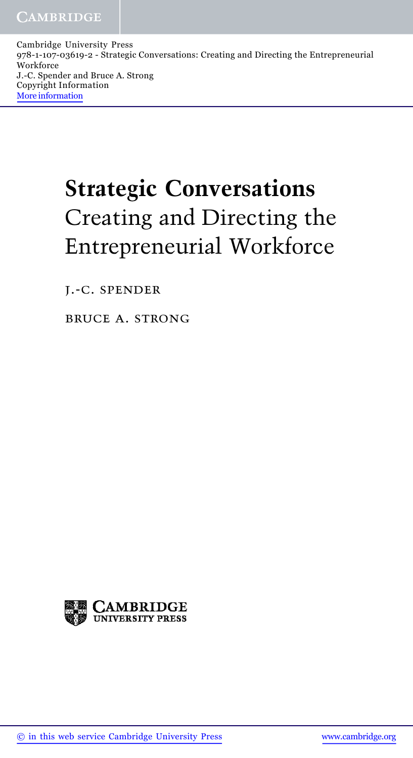Cambridge University Press 978-1-107-03619-2 - Strategic Conversations: Creating and Directing the Entrepreneurial Workforce J.-C. Spender and Bruce A. Strong Copyright Information More information

## Strategic Conversations Creating and Directing the Entrepreneurial Workforce

j.-c. spender

bruce a. strong